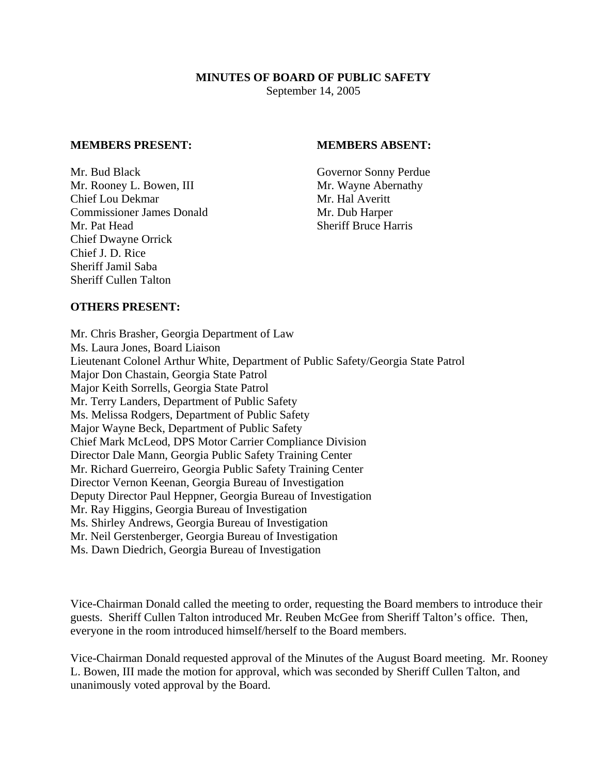#### **MINUTES OF BOARD OF PUBLIC SAFETY**  September 14, 2005

#### **MEMBERS PRESENT: MEMBERS ABSENT:**

Mr. Bud Black Governor Sonny Perdue Mr. Rooney L. Bowen, III Mr. Wayne Abernathy Chief Lou Dekmar Mr. Hal Averitt Commissioner James Donald Mr. Dub Harper Mr. Pat Head Sheriff Bruce Harris Chief Dwayne Orrick Chief J. D. Rice Sheriff Jamil Saba Sheriff Cullen Talton

#### **OTHERS PRESENT:**

Mr. Chris Brasher, Georgia Department of Law Ms. Laura Jones, Board Liaison Lieutenant Colonel Arthur White, Department of Public Safety/Georgia State Patrol Major Don Chastain, Georgia State Patrol Major Keith Sorrells, Georgia State Patrol Mr. Terry Landers, Department of Public Safety Ms. Melissa Rodgers, Department of Public Safety Major Wayne Beck, Department of Public Safety Chief Mark McLeod, DPS Motor Carrier Compliance Division Director Dale Mann, Georgia Public Safety Training Center Mr. Richard Guerreiro, Georgia Public Safety Training Center Director Vernon Keenan, Georgia Bureau of Investigation Deputy Director Paul Heppner, Georgia Bureau of Investigation Mr. Ray Higgins, Georgia Bureau of Investigation Ms. Shirley Andrews, Georgia Bureau of Investigation Mr. Neil Gerstenberger, Georgia Bureau of Investigation Ms. Dawn Diedrich, Georgia Bureau of Investigation

Vice-Chairman Donald called the meeting to order, requesting the Board members to introduce their guests. Sheriff Cullen Talton introduced Mr. Reuben McGee from Sheriff Talton's office. Then, everyone in the room introduced himself/herself to the Board members.

Vice-Chairman Donald requested approval of the Minutes of the August Board meeting. Mr. Rooney L. Bowen, III made the motion for approval, which was seconded by Sheriff Cullen Talton, and unanimously voted approval by the Board.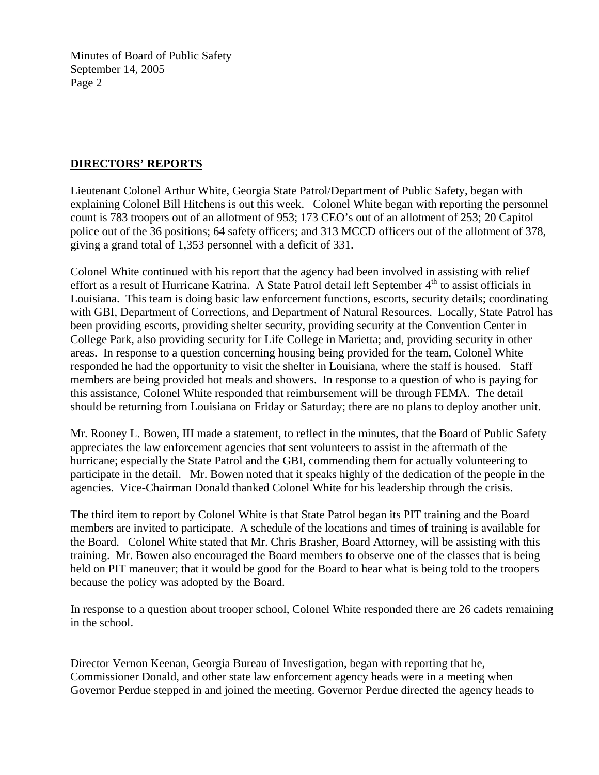### **DIRECTORS' REPORTS**

Lieutenant Colonel Arthur White, Georgia State Patrol/Department of Public Safety, began with explaining Colonel Bill Hitchens is out this week. Colonel White began with reporting the personnel count is 783 troopers out of an allotment of 953; 173 CEO's out of an allotment of 253; 20 Capitol police out of the 36 positions; 64 safety officers; and 313 MCCD officers out of the allotment of 378, giving a grand total of 1,353 personnel with a deficit of 331.

Colonel White continued with his report that the agency had been involved in assisting with relief effort as a result of Hurricane Katrina. A State Patrol detail left September 4<sup>th</sup> to assist officials in Louisiana. This team is doing basic law enforcement functions, escorts, security details; coordinating with GBI, Department of Corrections, and Department of Natural Resources. Locally, State Patrol has been providing escorts, providing shelter security, providing security at the Convention Center in College Park, also providing security for Life College in Marietta; and, providing security in other areas. In response to a question concerning housing being provided for the team, Colonel White responded he had the opportunity to visit the shelter in Louisiana, where the staff is housed. Staff members are being provided hot meals and showers. In response to a question of who is paying for this assistance, Colonel White responded that reimbursement will be through FEMA. The detail should be returning from Louisiana on Friday or Saturday; there are no plans to deploy another unit.

Mr. Rooney L. Bowen, III made a statement, to reflect in the minutes, that the Board of Public Safety appreciates the law enforcement agencies that sent volunteers to assist in the aftermath of the hurricane; especially the State Patrol and the GBI, commending them for actually volunteering to participate in the detail. Mr. Bowen noted that it speaks highly of the dedication of the people in the agencies. Vice-Chairman Donald thanked Colonel White for his leadership through the crisis.

The third item to report by Colonel White is that State Patrol began its PIT training and the Board members are invited to participate. A schedule of the locations and times of training is available for the Board. Colonel White stated that Mr. Chris Brasher, Board Attorney, will be assisting with this training. Mr. Bowen also encouraged the Board members to observe one of the classes that is being held on PIT maneuver; that it would be good for the Board to hear what is being told to the troopers because the policy was adopted by the Board.

In response to a question about trooper school, Colonel White responded there are 26 cadets remaining in the school.

Director Vernon Keenan, Georgia Bureau of Investigation, began with reporting that he, Commissioner Donald, and other state law enforcement agency heads were in a meeting when Governor Perdue stepped in and joined the meeting. Governor Perdue directed the agency heads to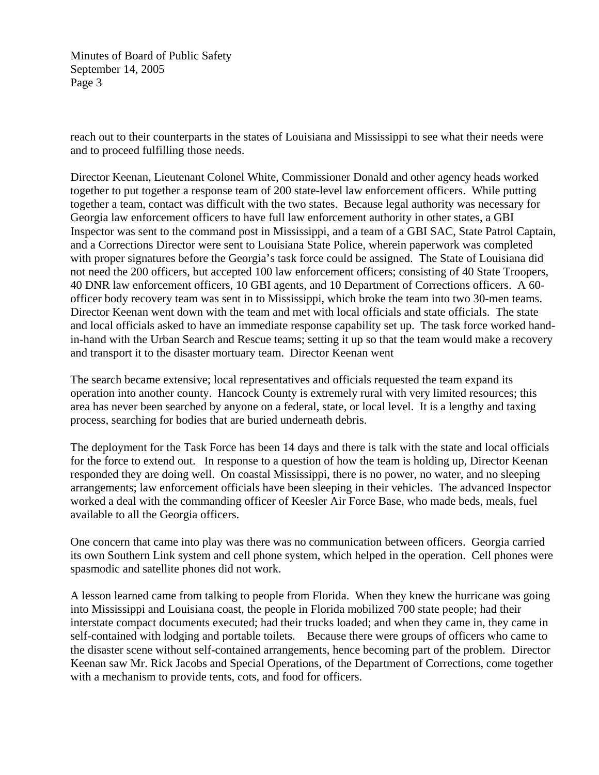reach out to their counterparts in the states of Louisiana and Mississippi to see what their needs were and to proceed fulfilling those needs.

Director Keenan, Lieutenant Colonel White, Commissioner Donald and other agency heads worked together to put together a response team of 200 state-level law enforcement officers. While putting together a team, contact was difficult with the two states. Because legal authority was necessary for Georgia law enforcement officers to have full law enforcement authority in other states, a GBI Inspector was sent to the command post in Mississippi, and a team of a GBI SAC, State Patrol Captain, and a Corrections Director were sent to Louisiana State Police, wherein paperwork was completed with proper signatures before the Georgia's task force could be assigned. The State of Louisiana did not need the 200 officers, but accepted 100 law enforcement officers; consisting of 40 State Troopers, 40 DNR law enforcement officers, 10 GBI agents, and 10 Department of Corrections officers. A 60 officer body recovery team was sent in to Mississippi, which broke the team into two 30-men teams. Director Keenan went down with the team and met with local officials and state officials. The state and local officials asked to have an immediate response capability set up. The task force worked handin-hand with the Urban Search and Rescue teams; setting it up so that the team would make a recovery and transport it to the disaster mortuary team. Director Keenan went

The search became extensive; local representatives and officials requested the team expand its operation into another county. Hancock County is extremely rural with very limited resources; this area has never been searched by anyone on a federal, state, or local level. It is a lengthy and taxing process, searching for bodies that are buried underneath debris.

The deployment for the Task Force has been 14 days and there is talk with the state and local officials for the force to extend out. In response to a question of how the team is holding up, Director Keenan responded they are doing well. On coastal Mississippi, there is no power, no water, and no sleeping arrangements; law enforcement officials have been sleeping in their vehicles. The advanced Inspector worked a deal with the commanding officer of Keesler Air Force Base, who made beds, meals, fuel available to all the Georgia officers.

One concern that came into play was there was no communication between officers. Georgia carried its own Southern Link system and cell phone system, which helped in the operation. Cell phones were spasmodic and satellite phones did not work.

A lesson learned came from talking to people from Florida. When they knew the hurricane was going into Mississippi and Louisiana coast, the people in Florida mobilized 700 state people; had their interstate compact documents executed; had their trucks loaded; and when they came in, they came in self-contained with lodging and portable toilets. Because there were groups of officers who came to the disaster scene without self-contained arrangements, hence becoming part of the problem. Director Keenan saw Mr. Rick Jacobs and Special Operations, of the Department of Corrections, come together with a mechanism to provide tents, cots, and food for officers.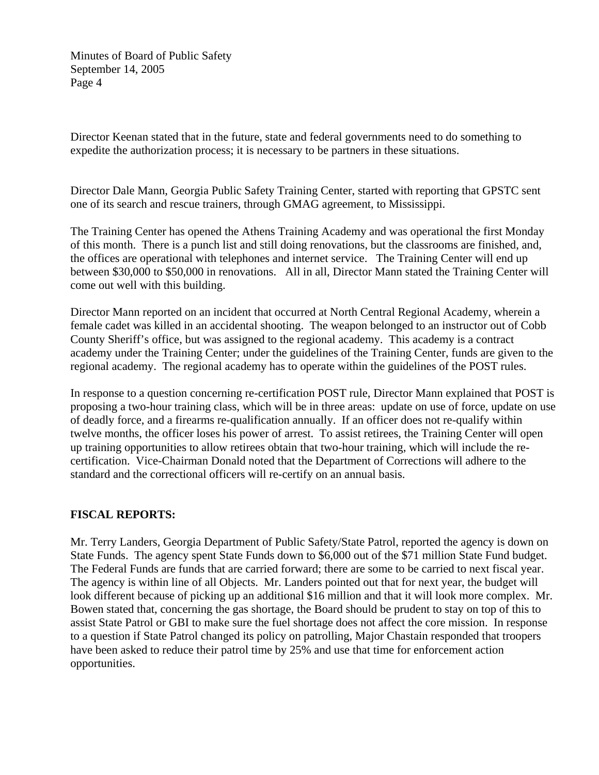Director Keenan stated that in the future, state and federal governments need to do something to expedite the authorization process; it is necessary to be partners in these situations.

Director Dale Mann, Georgia Public Safety Training Center, started with reporting that GPSTC sent one of its search and rescue trainers, through GMAG agreement, to Mississippi.

The Training Center has opened the Athens Training Academy and was operational the first Monday of this month. There is a punch list and still doing renovations, but the classrooms are finished, and, the offices are operational with telephones and internet service. The Training Center will end up between \$30,000 to \$50,000 in renovations. All in all, Director Mann stated the Training Center will come out well with this building.

Director Mann reported on an incident that occurred at North Central Regional Academy, wherein a female cadet was killed in an accidental shooting. The weapon belonged to an instructor out of Cobb County Sheriff's office, but was assigned to the regional academy. This academy is a contract academy under the Training Center; under the guidelines of the Training Center, funds are given to the regional academy. The regional academy has to operate within the guidelines of the POST rules.

In response to a question concerning re-certification POST rule, Director Mann explained that POST is proposing a two-hour training class, which will be in three areas: update on use of force, update on use of deadly force, and a firearms re-qualification annually. If an officer does not re-qualify within twelve months, the officer loses his power of arrest. To assist retirees, the Training Center will open up training opportunities to allow retirees obtain that two-hour training, which will include the recertification. Vice-Chairman Donald noted that the Department of Corrections will adhere to the standard and the correctional officers will re-certify on an annual basis.

## **FISCAL REPORTS:**

Mr. Terry Landers, Georgia Department of Public Safety/State Patrol, reported the agency is down on State Funds. The agency spent State Funds down to \$6,000 out of the \$71 million State Fund budget. The Federal Funds are funds that are carried forward; there are some to be carried to next fiscal year. The agency is within line of all Objects. Mr. Landers pointed out that for next year, the budget will look different because of picking up an additional \$16 million and that it will look more complex. Mr. Bowen stated that, concerning the gas shortage, the Board should be prudent to stay on top of this to assist State Patrol or GBI to make sure the fuel shortage does not affect the core mission. In response to a question if State Patrol changed its policy on patrolling, Major Chastain responded that troopers have been asked to reduce their patrol time by 25% and use that time for enforcement action opportunities.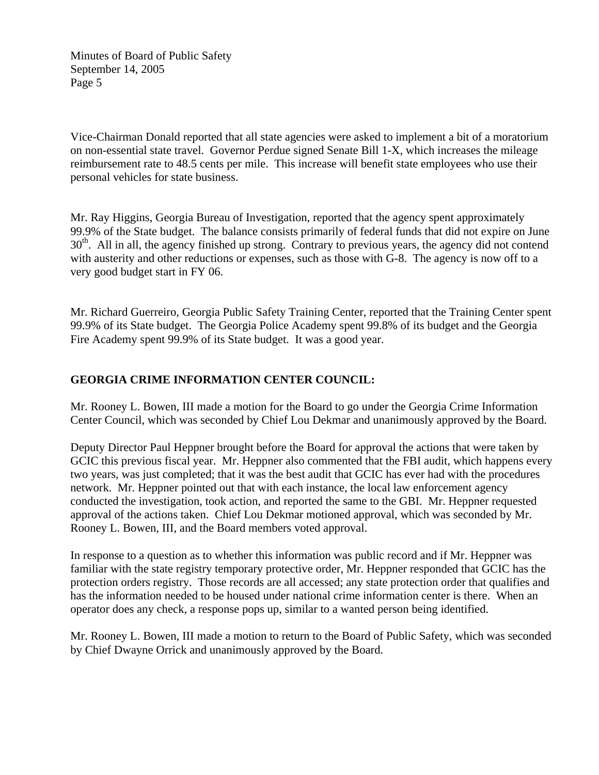Vice-Chairman Donald reported that all state agencies were asked to implement a bit of a moratorium on non-essential state travel. Governor Perdue signed Senate Bill 1-X, which increases the mileage reimbursement rate to 48.5 cents per mile. This increase will benefit state employees who use their personal vehicles for state business.

Mr. Ray Higgins, Georgia Bureau of Investigation, reported that the agency spent approximately 99.9% of the State budget. The balance consists primarily of federal funds that did not expire on June 30<sup>th</sup>. All in all, the agency finished up strong. Contrary to previous years, the agency did not contend with austerity and other reductions or expenses, such as those with G-8. The agency is now off to a very good budget start in FY 06.

Mr. Richard Guerreiro, Georgia Public Safety Training Center, reported that the Training Center spent 99.9% of its State budget. The Georgia Police Academy spent 99.8% of its budget and the Georgia Fire Academy spent 99.9% of its State budget. It was a good year.

## **GEORGIA CRIME INFORMATION CENTER COUNCIL:**

Mr. Rooney L. Bowen, III made a motion for the Board to go under the Georgia Crime Information Center Council, which was seconded by Chief Lou Dekmar and unanimously approved by the Board.

Deputy Director Paul Heppner brought before the Board for approval the actions that were taken by GCIC this previous fiscal year. Mr. Heppner also commented that the FBI audit, which happens every two years, was just completed; that it was the best audit that GCIC has ever had with the procedures network. Mr. Heppner pointed out that with each instance, the local law enforcement agency conducted the investigation, took action, and reported the same to the GBI. Mr. Heppner requested approval of the actions taken. Chief Lou Dekmar motioned approval, which was seconded by Mr. Rooney L. Bowen, III, and the Board members voted approval.

In response to a question as to whether this information was public record and if Mr. Heppner was familiar with the state registry temporary protective order, Mr. Heppner responded that GCIC has the protection orders registry. Those records are all accessed; any state protection order that qualifies and has the information needed to be housed under national crime information center is there. When an operator does any check, a response pops up, similar to a wanted person being identified.

Mr. Rooney L. Bowen, III made a motion to return to the Board of Public Safety, which was seconded by Chief Dwayne Orrick and unanimously approved by the Board.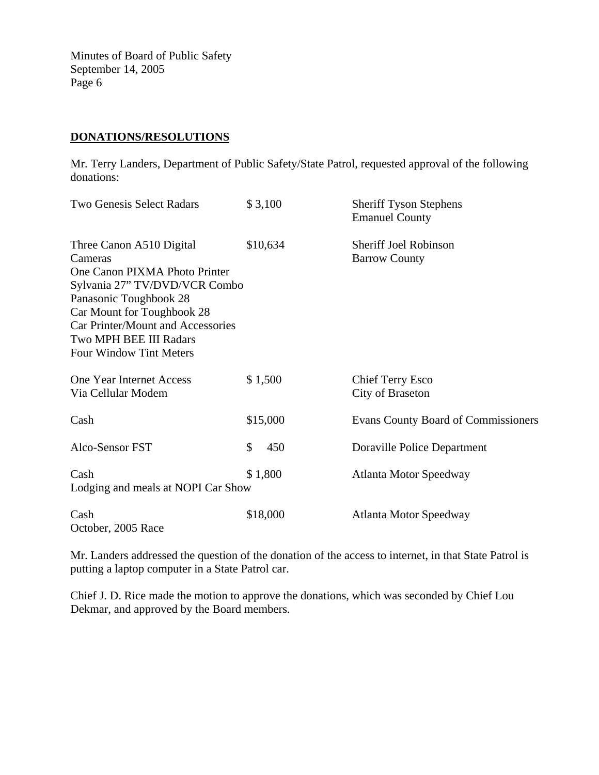## **DONATIONS/RESOLUTIONS**

Mr. Terry Landers, Department of Public Safety/State Patrol, requested approval of the following donations:

| <b>Two Genesis Select Radars</b>                                                                                                                                                                                                                               | \$3,100   | <b>Sheriff Tyson Stephens</b><br><b>Emanuel County</b> |
|----------------------------------------------------------------------------------------------------------------------------------------------------------------------------------------------------------------------------------------------------------------|-----------|--------------------------------------------------------|
| Three Canon A510 Digital<br>Cameras<br>One Canon PIXMA Photo Printer<br>Sylvania 27" TV/DVD/VCR Combo<br>Panasonic Toughbook 28<br>Car Mount for Toughbook 28<br>Car Printer/Mount and Accessories<br>Two MPH BEE III Radars<br><b>Four Window Tint Meters</b> | \$10,634  | <b>Sheriff Joel Robinson</b><br><b>Barrow County</b>   |
| One Year Internet Access<br>Via Cellular Modem                                                                                                                                                                                                                 | \$1,500   | <b>Chief Terry Esco</b><br>City of Braseton            |
| Cash                                                                                                                                                                                                                                                           | \$15,000  | <b>Evans County Board of Commissioners</b>             |
| Alco-Sensor FST                                                                                                                                                                                                                                                | \$<br>450 | Doraville Police Department                            |
| Cash<br>Lodging and meals at NOPI Car Show                                                                                                                                                                                                                     | \$1,800   | <b>Atlanta Motor Speedway</b>                          |
| Cash<br>October, 2005 Race                                                                                                                                                                                                                                     | \$18,000  | <b>Atlanta Motor Speedway</b>                          |

Mr. Landers addressed the question of the donation of the access to internet, in that State Patrol is putting a laptop computer in a State Patrol car.

Chief J. D. Rice made the motion to approve the donations, which was seconded by Chief Lou Dekmar, and approved by the Board members.